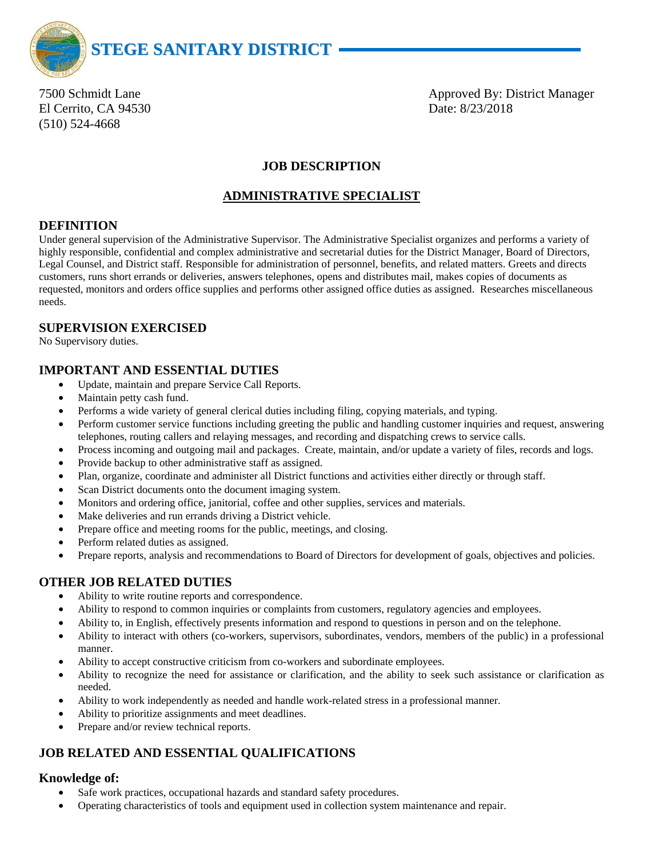

El Cerrito, CA 94530 Date: 8/23/2018 (510) 524-4668

7500 Schmidt Lane **Approved By: District Manager** Approved By: District Manager

# **JOB DESCRIPTION**

## **ADMINISTRATIVE SPECIALIST**

## **DEFINITION**

Under general supervision of the Administrative Supervisor. The Administrative Specialist organizes and performs a variety of highly responsible, confidential and complex administrative and secretarial duties for the District Manager, Board of Directors, Legal Counsel, and District staff. Responsible for administration of personnel, benefits, and related matters. Greets and directs customers, runs short errands or deliveries, answers telephones, opens and distributes mail, makes copies of documents as requested, monitors and orders office supplies and performs other assigned office duties as assigned. Researches miscellaneous needs.

## **SUPERVISION EXERCISED**

No Supervisory duties.

## **IMPORTANT AND ESSENTIAL DUTIES**

- Update, maintain and prepare Service Call Reports.
- Maintain petty cash fund.
- Performs a wide variety of general clerical duties including filing, copying materials, and typing.
- Perform customer service functions including greeting the public and handling customer inquiries and request, answering telephones, routing callers and relaying messages, and recording and dispatching crews to service calls.
- Process incoming and outgoing mail and packages. Create, maintain, and/or update a variety of files, records and logs.
- Provide backup to other administrative staff as assigned.
- Plan, organize, coordinate and administer all District functions and activities either directly or through staff.
- Scan District documents onto the document imaging system.
- Monitors and ordering office, janitorial, coffee and other supplies, services and materials.
- Make deliveries and run errands driving a District vehicle.
- Prepare office and meeting rooms for the public, meetings, and closing.
- Perform related duties as assigned.
- Prepare reports, analysis and recommendations to Board of Directors for development of goals, objectives and policies.

## **OTHER JOB RELATED DUTIES**

- Ability to write routine reports and correspondence.
- Ability to respond to common inquiries or complaints from customers, regulatory agencies and employees.
- Ability to, in English, effectively presents information and respond to questions in person and on the telephone.
- Ability to interact with others (co-workers, supervisors, subordinates, vendors, members of the public) in a professional manner.
- Ability to accept constructive criticism from co-workers and subordinate employees.
- Ability to recognize the need for assistance or clarification, and the ability to seek such assistance or clarification as needed.
- Ability to work independently as needed and handle work-related stress in a professional manner.
- Ability to prioritize assignments and meet deadlines.
- Prepare and/or review technical reports.

# **JOB RELATED AND ESSENTIAL QUALIFICATIONS**

## **Knowledge of:**

- Safe work practices, occupational hazards and standard safety procedures.
- Operating characteristics of tools and equipment used in collection system maintenance and repair.